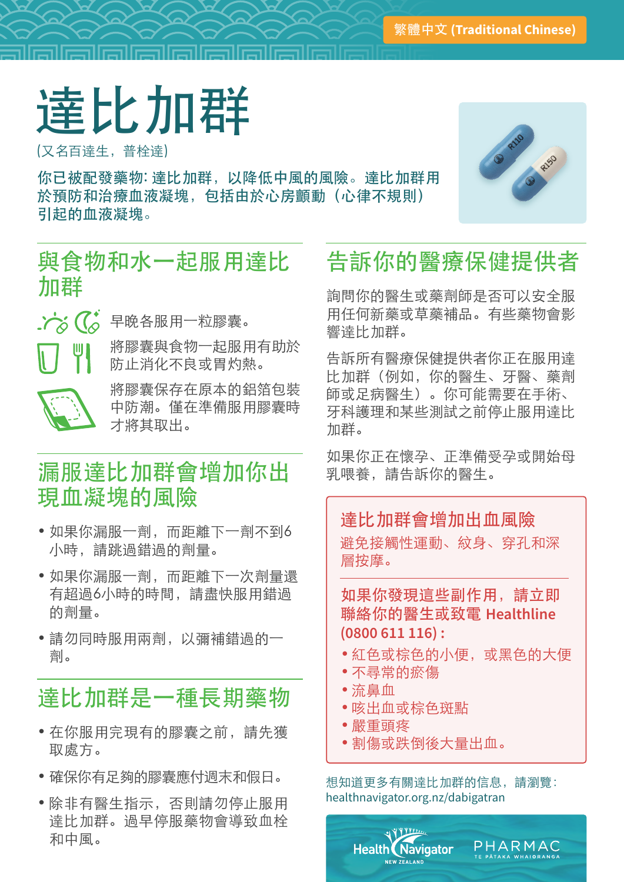## 達比加群

(又名百達生,普栓達)

你已被配發藥物: 達比加群,以降低中風的風險。達比加群用 於預防和治療血液凝塊,包括由於心房顫動(心律不規則) 引起的血液凝塊。



#### 與食物和水一起服用達比 加群



六分 (<<br />
早晚各服用一粒膠囊。

將膠囊與食物一起服用有助於 防止消化不良或胃灼熱。



將膠囊保存在原本的鋁箔包裝 中防潮。僅在準備服用膠囊時 才將其取出。

### 漏服達比加群會增加你出 現血凝塊的風險

- • 如果你漏服一劑,而距離下一劑不到6 小時,請跳過錯過的劑量。
- • 如果你漏服一劑,而距離下一次劑量還 有超過6小時的時間,請盡快服用錯過 的劑量。
- • 請勿同時服用兩劑,以彌補錯過的一 劑。

## 達比加群是一種長期藥物

- • 在你服用完現有的膠囊之前,請先獲 取處方。
- • 確保你有足夠的膠囊應付週末和假日。
- • 除非有醫生指示,否則請勿停止服用 達比加群。過早停服藥物會導致血栓 和中風。

## 告訴你的醫療保健提供者

詢問你的醫生或藥劑師是否可以安全服 用任何新藥或草藥補品。有些藥物會影 響達比加群。

告訴所有醫療保健提供者你正在服用達 比加群(例如,你的醫生、牙醫、藥劑 師或足病醫生)。你可能需要在手術、 牙科護理和某些測試之前停止服用達比 加群。

如果你正在懷孕、正準備受孕或開始母 乳喂養,請告訴你的醫生。

#### 達比加群會增加出血風險

避免接觸性運動、紋身、穿孔和深 層按摩。

如果你發現這些副作用,請立即 聯絡你的醫生或致電 **Healthline (0800 611 116) :**

- • 紅色或棕色的小便,或黑色的大便
- • 不尋常的瘀傷
- • 流鼻血
- • 咳出血或棕色斑點

**Health Navigator** NEW ZEAL AND

- • 嚴重頭疼
- • 割傷或跌倒後大量出血。

想知道更多有關達比加群的信息,請瀏覽: healthnavigator.org.nz/dabigatran

PHARMAC